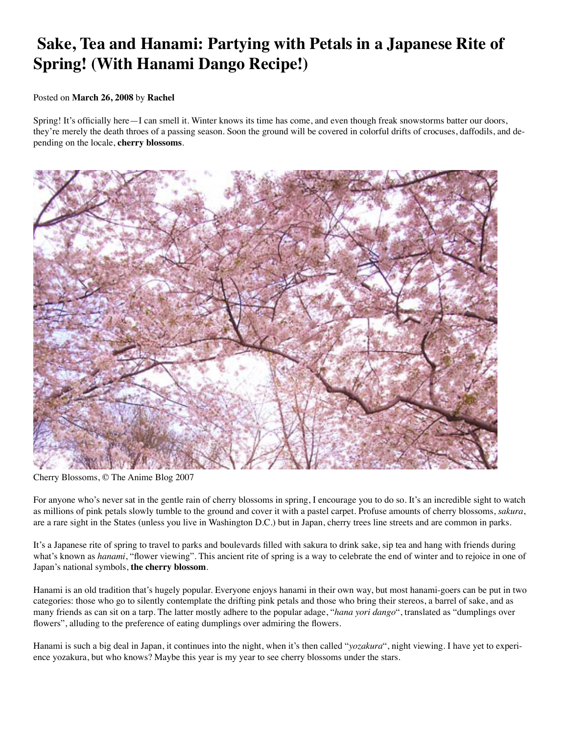## **Sake, Tea and Hanami: Partying with Petals in a Japanese Rite of Spring! (With Hanami Dango Recipe!)**

## Posted on **March 26, 2008** by **Rachel**

Spring! It's officially here—I can smell it. Winter knows its time has come, and even though freak snowstorms batter our doors, they're merely the death throes of a passing season. Soon the ground will be covered in colorful drifts of crocuses, daffodils, and depending on the locale, **cherry blossoms**.



Cherry Blossoms, © The Anime Blog 2007

For anyone who's never sat in the gentle rain of cherry blossoms in spring, I encourage you to do so. It's an incredible sight to watch as millions of pink petals slowly tumble to the ground and cover it with a pastel carpet. Profuse amounts of cherry blossoms, *sakura*, are a rare sight in the States (unless you live in Washington D.C.) but in Japan, cherry trees line streets and are common in parks.

It's a Japanese rite of spring to travel to parks and boulevards filled with sakura to drink sake, sip tea and hang with friends during what's known as *hanami*, "flower viewing". This ancient rite of spring is a way to celebrate the end of winter and to rejoice in one of Japan's national symbols, **the cherry blossom**.

Hanami is an old tradition that's hugely popular. Everyone enjoys hanami in their own way, but most hanami-goers can be put in two categories: those who go to silently contemplate the drifting pink petals and those who bring their stereos, a barrel of sake, and as many friends as can sit on a tarp. The latter mostly adhere to the popular adage, "*hana yori dango*", translated as "dumplings over flowers", alluding to the preference of eating dumplings over admiring the flowers.

Hanami is such a big deal in Japan, it continues into the night, when it's then called "*yozakura*", night viewing. I have yet to experience yozakura, but who knows? Maybe this year is my year to see cherry blossoms under the stars.